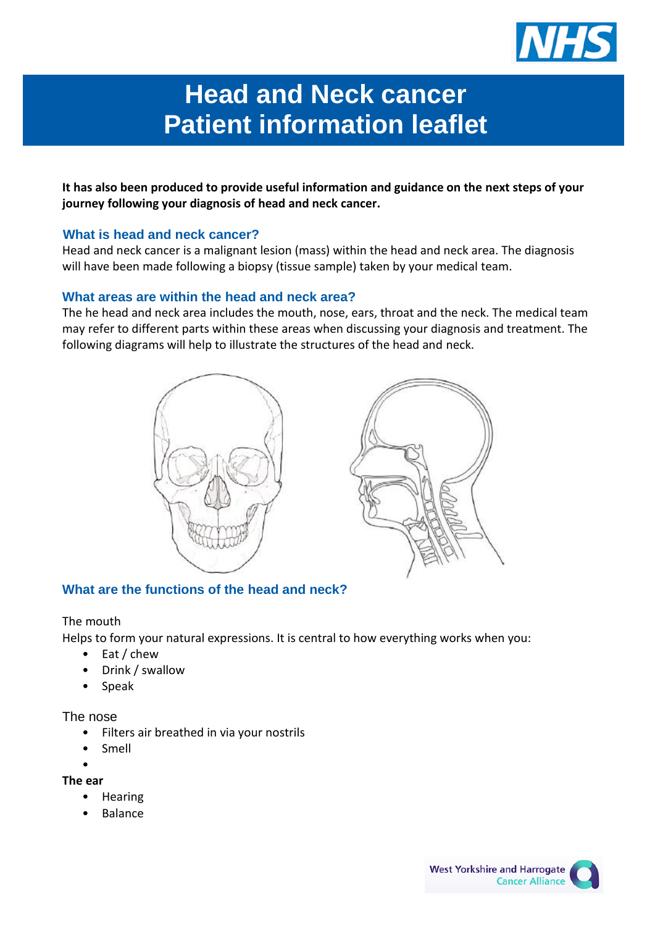

# **Head and Neck cancer Patient information leaflet**

**It has also been produced to provide useful information and guidance on the next steps of your journey following your diagnosis of head and neck cancer.**

#### **What is head and neck cancer?**

Head and neck cancer is a malignant lesion (mass) within the head and neck area. The diagnosis will have been made following a biopsy (tissue sample) taken by your medical team.

#### **What areas are within the head and neck area?**

The he head and neck area includes the mouth, nose, ears, throat and the neck. The medical team may refer to different parts within these areas when discussing your diagnosis and treatment. The following diagrams will help to illustrate the structures of the head and neck.



## **What are the functions of the head and neck?**

The mouth

Helps to form your natural expressions. It is central to how everything works when you:

- Eat / chew
- Drink / swallow
- Speak

The nose

- Filters air breathed in via your nostrils
- Smell
- •

**The ear**

- Hearing
- Balance

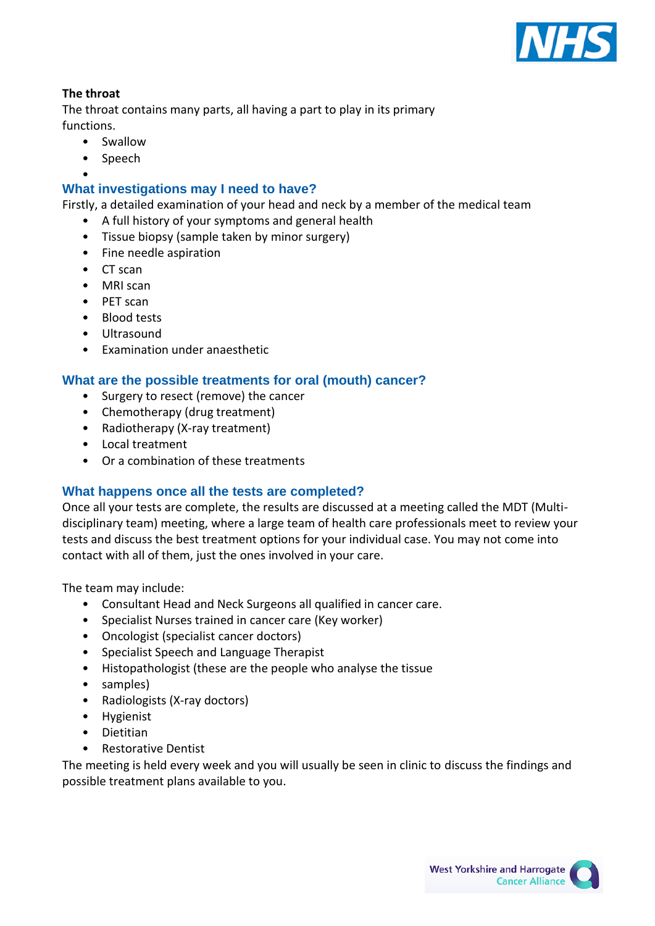

#### **The throat**

The throat contains many parts, all having a part to play in its primary functions.

- Swallow
- Speech
- •

## **What investigations may I need to have?**

Firstly, a detailed examination of your head and neck by a member of the medical team

- A full history of your symptoms and general health
- Tissue biopsy (sample taken by minor surgery)
- Fine needle aspiration
- CT scan
- MRI scan
- PET scan
- Blood tests
- Ultrasound
- Examination under anaesthetic

## **What are the possible treatments for oral (mouth) cancer?**

- Surgery to resect (remove) the cancer
- Chemotherapy (drug treatment)
- Radiotherapy (X-ray treatment)
- Local treatment
- Or a combination of these treatments

## **What happens once all the tests are completed?**

Once all your tests are complete, the results are discussed at a meeting called the MDT (Multidisciplinary team) meeting, where a large team of health care professionals meet to review your tests and discuss the best treatment options for your individual case. You may not come into contact with all of them, just the ones involved in your care.

The team may include:

- Consultant Head and Neck Surgeons all qualified in cancer care.
- Specialist Nurses trained in cancer care (Key worker)
- Oncologist (specialist cancer doctors)
- Specialist Speech and Language Therapist
- Histopathologist (these are the people who analyse the tissue
- samples)
- Radiologists (X-ray doctors)
- Hygienist
- Dietitian
- Restorative Dentist

The meeting is held every week and you will usually be seen in clinic to discuss the findings and possible treatment plans available to you.